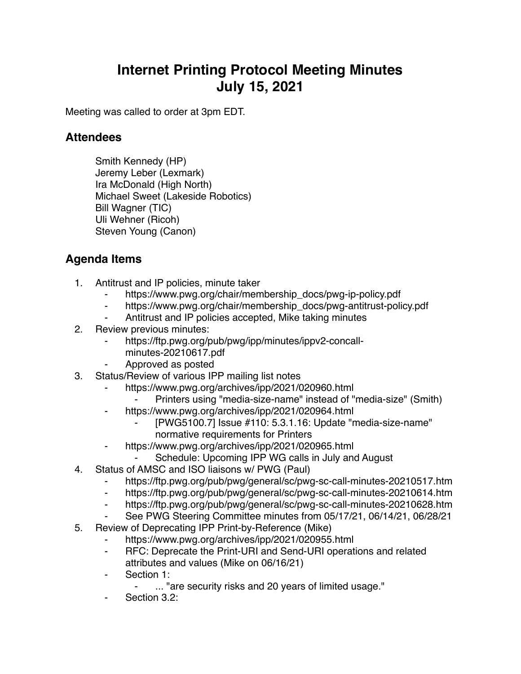## **Internet Printing Protocol Meeting Minutes July 15, 2021**

Meeting was called to order at 3pm EDT.

## **Attendees**

Smith Kennedy (HP) Jeremy Leber (Lexmark) Ira McDonald (High North) Michael Sweet (Lakeside Robotics) Bill Wagner (TIC) Uli Wehner (Ricoh) Steven Young (Canon)

## **Agenda Items**

- 1. Antitrust and IP policies, minute taker
	- ⁃ https://www.pwg.org/chair/membership\_docs/pwg-ip-policy.pdf
	- ⁃ https://www.pwg.org/chair/membership\_docs/pwg-antitrust-policy.pdf
	- Antitrust and IP policies accepted, Mike taking minutes
- 2. Review previous minutes:
	- https://ftp.pwg.org/pub/pwg/ipp/minutes/ippv2-concall
		- minutes-20210617.pdf
	- ⁃ Approved as posted
- 3. Status/Review of various IPP mailing list notes
	- https://www.pwg.org/archives/ipp/2021/020960.html
		- Printers using "media-size-name" instead of "media-size" (Smith)
	- https://www.pwg.org/archives/ipp/2021/020964.html
		- ⁃ [PWG5100.7] Issue #110: 5.3.1.16: Update "media-size-name" normative requirements for Printers
	- ⁃ https://www.pwg.org/archives/ipp/2021/020965.html
		- Schedule: Upcoming IPP WG calls in July and August
- 4. Status of AMSC and ISO liaisons w/ PWG (Paul)
	- ⁃ https://ftp.pwg.org/pub/pwg/general/sc/pwg-sc-call-minutes-20210517.htm
	- ⁃ https://ftp.pwg.org/pub/pwg/general/sc/pwg-sc-call-minutes-20210614.htm
	- ⁃ https://ftp.pwg.org/pub/pwg/general/sc/pwg-sc-call-minutes-20210628.htm
	- See PWG Steering Committee minutes from 05/17/21, 06/14/21, 06/28/21
- 5. Review of Deprecating IPP Print-by-Reference (Mike)
	- https://www.pwg.org/archives/ipp/2021/020955.html
	- ⁃ RFC: Deprecate the Print-URI and Send-URI operations and related attributes and values (Mike on 06/16/21)
	- Section 1:
		- ⁃ ... "are security risks and 20 years of limited usage."
	- Section 3.2: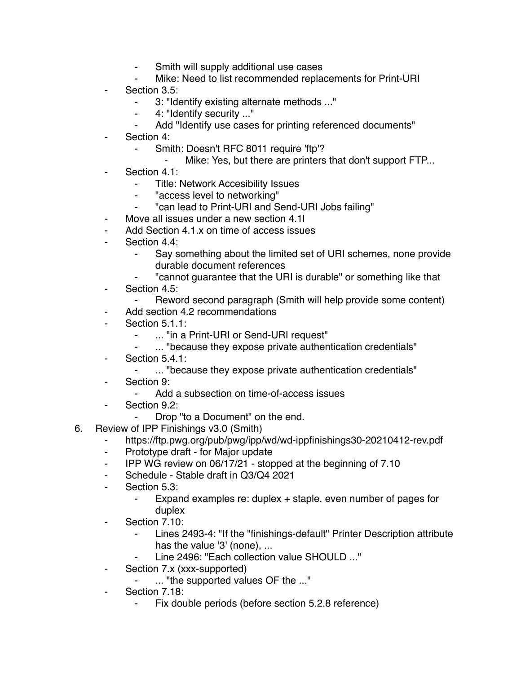- ⁃ Smith will supply additional use cases
- Mike: Need to list recommended replacements for Print-URI
- Section 3.5:
	- ⁃ 3: "Identify existing alternate methods ..."
	- ⁃ 4: "Identify security ..."
	- Add "Identify use cases for printing referenced documents"
- Section 4:
	- ⁃ Smith: Doesn't RFC 8011 require 'ftp'?
		- Mike: Yes, but there are printers that don't support FTP...
- Section 4.1:
	- Title: Network Accesibility Issues
	- ⁃ "access level to networking"
	- "can lead to Print-URI and Send-URI Jobs failing"
- Move all issues under a new section 4.1l
- Add Section 4.1.x on time of access issues
- Section 4.4:
	- ⁃ Say something about the limited set of URI schemes, none provide durable document references
	- "cannot quarantee that the URI is durable" or something like that
- ⁃ Section 4.5:
	- Reword second paragraph (Smith will help provide some content)
- ⁃ Add section 4.2 recommendations
- Section 5.1.1:
	- ⁃ ... "in a Print-URI or Send-URI request"
	- ⁃ ... "because they expose private authentication credentials"
- Section 5.4.1:
	- ⁃ ... "because they expose private authentication credentials"
- Section 9:
	- ⁃ Add a subsection on time-of-access issues
- Section 9.2:
	- Drop "to a Document" on the end.
- 6. Review of IPP Finishings v3.0 (Smith)
	- https://ftp.pwg.org/pub/pwg/ipp/wd/wd-ippfinishings30-20210412-rev.pdf
	- ⁃ Prototype draft for Major update
	- ⁃ IPP WG review on 06/17/21 stopped at the beginning of 7.10
	- ⁃ Schedule Stable draft in Q3/Q4 2021
	- ⁃ Section 5.3:
		- ⁃ Expand examples re: duplex + staple, even number of pages for duplex
	- Section 7.10:
		- Lines 2493-4: "If the "finishings-default" Printer Description attribute has the value '3' (none), ...
		- Line 2496: "Each collection value SHOULD ..."
	- Section 7.x (xxx-supported)
		- ⁃ ... "the supported values OF the ..."
	- Section 7.18:
		- Fix double periods (before section 5.2.8 reference)